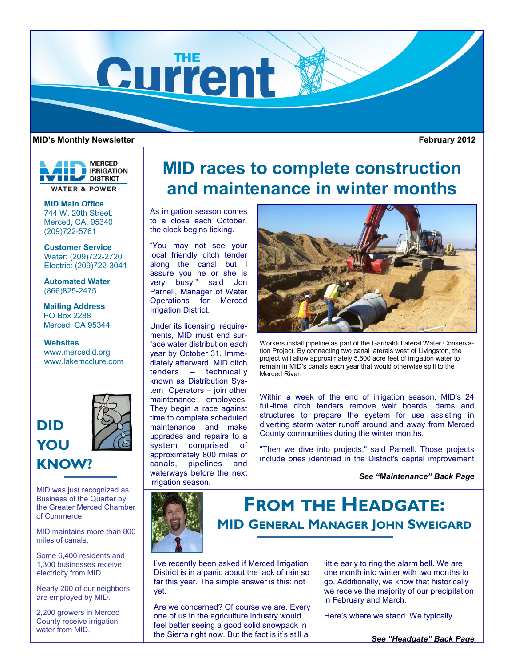

### **MID's Monthly Newsletter**

**MERCED E** IRRIGATION **THE DISTRICT WATER & POWER** 

**MID Main Office** 744 W. 20th Street. Merced, CA. 95340 (209)722-5761

**Customer Service** Water: (209)722-2720 Electric: (209)722-3041

**Automated Water** (866)825-2475

**Mailing Address** PO Box 2288 Merced, CA 95344

### **Websites**

www.mercedid.org www.lakemcclure.com



# **KNOW?**

MID was just recognized as Business of the Quarter by the Greater Merced Chamber of Commerce.

MID maintains more than 800 miles of canals.

Some 6,400 residents and 1,300 businesses receive electricity from MID.

Nearly 200 of our neighbors are employed by MID.

2,200 growers in Merced County receive irrigation water from MID.

# **MID races to complete construction and maintenance in winter months**

As irrigation season comes to a close each October, the clock begins ticking.

"You may not see your local friendly ditch tender along the canal but I assure you he or she is very busy," said Jon Parnell, Manager of Water Operations for Merced Irrigation District.

Under its licensing requirements, MID must end surface water distribution each year by October 31. Immediately afterward, MID ditch tenders – technically known as Distribution System Operators – join other maintenance employees. They begin a race against time to complete scheduled maintenance and make upgrades and repairs to a system comprised of approximately 800 miles of canals, pipelines and waterways before the next irrigation season.



Workers install pipeline as part of the Garibaldi Lateral Water Conservation Project. By connecting two canal laterals west of Livingston, the project will allow approximately 5,600 acre feet of irrigation water to remain in MID's canals each year that would otherwise spill to the Merced River.

Within a week of the end of irrigation season, MID's 24 full-time ditch tenders remove weir boards, dams and structures to prepare the system for use assisting in diverting storm water runoff around and away from Merced County communities during the winter months.

"Then we dive into projects," said Parnell. Those projects include ones identified in the District's capital improvement

*See "Maintenance" Back Page*



**FROM THE HEADGATE: MID GENERAL MANAGER JOHN SWEIGARD**

I've recently been asked if Merced Irrigation District is in a panic about the lack of rain so far this year. The simple answer is this: not yet.

Are we concerned? Of course we are. Every one of us in the agriculture industry would feel better seeing a good solid snowpack in the Sierra right now. But the fact is it's still a

little early to ring the alarm bell. We are one month into winter with two months to go. Additionally, we know that historically we receive the majority of our precipitation in February and March.

Here's where we stand. We typically

*See "Headgate" Back Page*

 **February 2012**